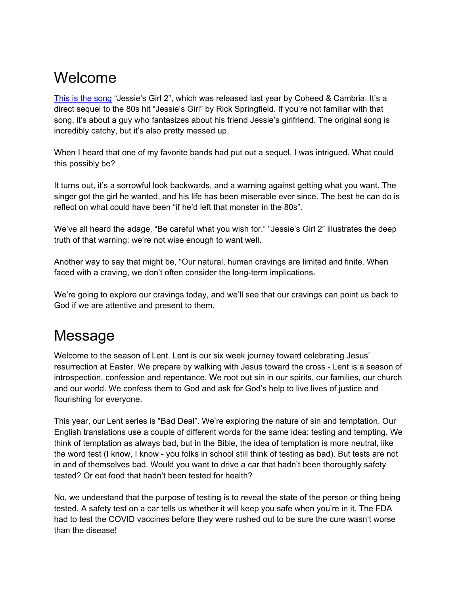# Welcome

[This is the song](https://youtu.be/BTGo-JHuCGc) "Jessie's Girl 2", which was released last year by Coheed & Cambria. It's a direct sequel to the 80s hit "Jessie's Girl" by Rick Springfield. If you're not familiar with that song, it's about a guy who fantasizes about his friend Jessie's girlfriend. The original song is incredibly catchy, but it's also pretty messed up.

When I heard that one of my favorite bands had put out a sequel, I was intrigued. What could this possibly be?

It turns out, it's a sorrowful look backwards, and a warning against getting what you want. The singer got the girl he wanted, and his life has been miserable ever since. The best he can do is reflect on what could have been "if he'd left that monster in the 80s".

We've all heard the adage, "Be careful what you wish for." "Jessie's Girl 2" illustrates the deep truth of that warning: we're not wise enough to want well.

Another way to say that might be, "Our natural, human cravings are limited and finite. When faced with a craving, we don't often consider the long-term implications.

We're going to explore our cravings today, and we'll see that our cravings can point us back to God if we are attentive and present to them.

# Message

Welcome to the season of Lent. Lent is our six week journey toward celebrating Jesus' resurrection at Easter. We prepare by walking with Jesus toward the cross - Lent is a season of introspection, confession and repentance. We root out sin in our spirits, our families, our church and our world. We confess them to God and ask for God's help to live lives of justice and flourishing for everyone.

This year, our Lent series is "Bad Deal". We're exploring the nature of sin and temptation. Our English translations use a couple of different words for the same idea: testing and tempting. We think of temptation as always bad, but in the Bible, the idea of temptation is more neutral, like the word test (I know, I know - you folks in school still think of testing as bad). But tests are not in and of themselves bad. Would you want to drive a car that hadn't been thoroughly safety tested? Or eat food that hadn't been tested for health?

No, we understand that the purpose of testing is to reveal the state of the person or thing being tested. A safety test on a car tells us whether it will keep you safe when you're in it. The FDA had to test the COVID vaccines before they were rushed out to be sure the cure wasn't worse than the disease!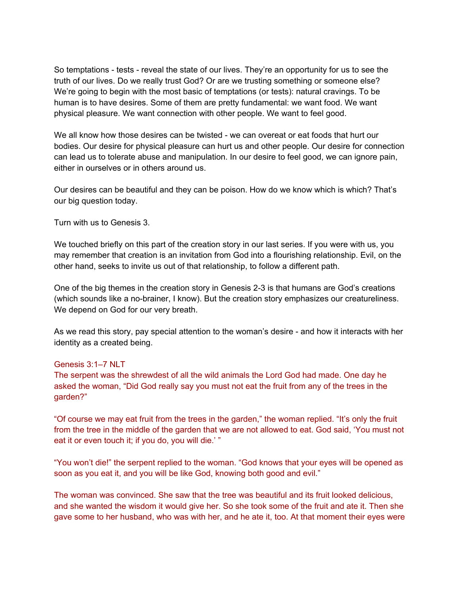So temptations - tests - reveal the state of our lives. They're an opportunity for us to see the truth of our lives. Do we really trust God? Or are we trusting something or someone else? We're going to begin with the most basic of temptations (or tests): natural cravings. To be human is to have desires. Some of them are pretty fundamental: we want food. We want physical pleasure. We want connection with other people. We want to feel good.

We all know how those desires can be twisted - we can overeat or eat foods that hurt our bodies. Our desire for physical pleasure can hurt us and other people. Our desire for connection can lead us to tolerate abuse and manipulation. In our desire to feel good, we can ignore pain, either in ourselves or in others around us.

Our desires can be beautiful and they can be poison. How do we know which is which? That's our big question today.

Turn with us to Genesis 3.

We touched briefly on this part of the creation story in our last series. If you were with us, you may remember that creation is an invitation from God into a flourishing relationship. Evil, on the other hand, seeks to invite us out of that relationship, to follow a different path.

One of the big themes in the creation story in Genesis 2-3 is that humans are God's creations (which sounds like a no-brainer, I know). But the creation story emphasizes our creatureliness. We depend on God for our very breath.

As we read this story, pay special attention to the woman's desire - and how it interacts with her identity as a created being.

#### Genesis 3:1–7 NLT

The serpent was the shrewdest of all the wild animals the Lord God had made. One day he asked the woman, "Did God really say you must not eat the fruit from any of the trees in the garden?"

"Of course we may eat fruit from the trees in the garden," the woman replied. "It's only the fruit from the tree in the middle of the garden that we are not allowed to eat. God said, 'You must not eat it or even touch it; if you do, you will die.' "

"You won't die!" the serpent replied to the woman. "God knows that your eyes will be opened as soon as you eat it, and you will be like God, knowing both good and evil."

The woman was convinced. She saw that the tree was beautiful and its fruit looked delicious, and she wanted the wisdom it would give her. So she took some of the fruit and ate it. Then she gave some to her husband, who was with her, and he ate it, too. At that moment their eyes were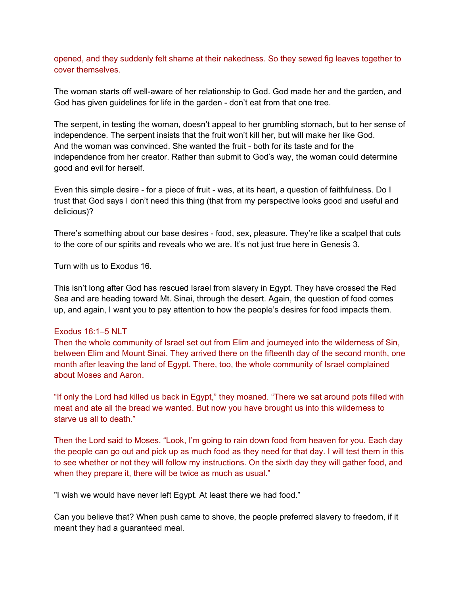opened, and they suddenly felt shame at their nakedness. So they sewed fig leaves together to cover themselves.

The woman starts off well-aware of her relationship to God. God made her and the garden, and God has given guidelines for life in the garden - don't eat from that one tree.

The serpent, in testing the woman, doesn't appeal to her grumbling stomach, but to her sense of independence. The serpent insists that the fruit won't kill her, but will make her like God. And the woman was convinced. She wanted the fruit - both for its taste and for the independence from her creator. Rather than submit to God's way, the woman could determine good and evil for herself.

Even this simple desire - for a piece of fruit - was, at its heart, a question of faithfulness. Do I trust that God says I don't need this thing (that from my perspective looks good and useful and delicious)?

There's something about our base desires - food, sex, pleasure. They're like a scalpel that cuts to the core of our spirits and reveals who we are. It's not just true here in Genesis 3.

Turn with us to Exodus 16.

This isn't long after God has rescued Israel from slavery in Egypt. They have crossed the Red Sea and are heading toward Mt. Sinai, through the desert. Again, the question of food comes up, and again, I want you to pay attention to how the people's desires for food impacts them.

#### Exodus 16:1–5 NLT

Then the whole community of Israel set out from Elim and journeyed into the wilderness of Sin, between Elim and Mount Sinai. They arrived there on the fifteenth day of the second month, one month after leaving the land of Egypt. There, too, the whole community of Israel complained about Moses and Aaron.

"If only the Lord had killed us back in Egypt," they moaned. "There we sat around pots filled with meat and ate all the bread we wanted. But now you have brought us into this wilderness to starve us all to death."

Then the Lord said to Moses, "Look, I'm going to rain down food from heaven for you. Each day the people can go out and pick up as much food as they need for that day. I will test them in this to see whether or not they will follow my instructions. On the sixth day they will gather food, and when they prepare it, there will be twice as much as usual."

"I wish we would have never left Egypt. At least there we had food."

Can you believe that? When push came to shove, the people preferred slavery to freedom, if it meant they had a guaranteed meal.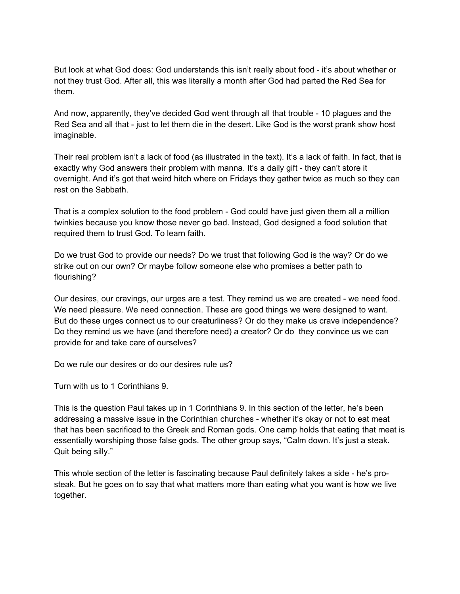But look at what God does: God understands this isn't really about food - it's about whether or not they trust God. After all, this was literally a month after God had parted the Red Sea for them.

And now, apparently, they've decided God went through all that trouble - 10 plagues and the Red Sea and all that - just to let them die in the desert. Like God is the worst prank show host imaginable.

Their real problem isn't a lack of food (as illustrated in the text). It's a lack of faith. In fact, that is exactly why God answers their problem with manna. It's a daily gift - they can't store it overnight. And it's got that weird hitch where on Fridays they gather twice as much so they can rest on the Sabbath.

That is a complex solution to the food problem - God could have just given them all a million twinkies because you know those never go bad. Instead, God designed a food solution that required them to trust God. To learn faith.

Do we trust God to provide our needs? Do we trust that following God is the way? Or do we strike out on our own? Or maybe follow someone else who promises a better path to flourishing?

Our desires, our cravings, our urges are a test. They remind us we are created - we need food. We need pleasure. We need connection. These are good things we were designed to want. But do these urges connect us to our creaturliness? Or do they make us crave independence? Do they remind us we have (and therefore need) a creator? Or do they convince us we can provide for and take care of ourselves?

Do we rule our desires or do our desires rule us?

Turn with us to 1 Corinthians 9.

This is the question Paul takes up in 1 Corinthians 9. In this section of the letter, he's been addressing a massive issue in the Corinthian churches - whether it's okay or not to eat meat that has been sacrificed to the Greek and Roman gods. One camp holds that eating that meat is essentially worshiping those false gods. The other group says, "Calm down. It's just a steak. Quit being silly."

This whole section of the letter is fascinating because Paul definitely takes a side - he's prosteak. But he goes on to say that what matters more than eating what you want is how we live together.